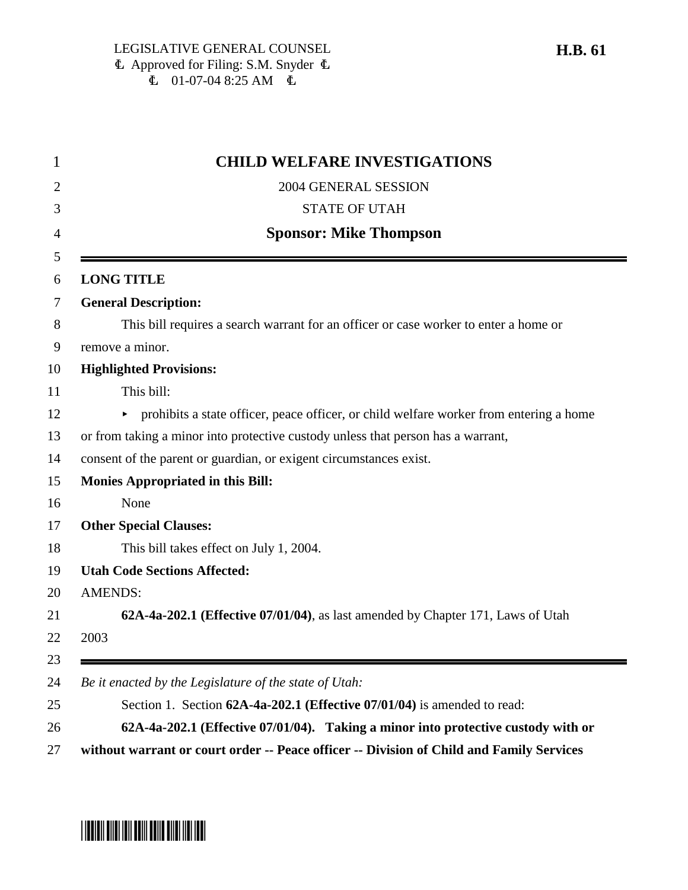| <b>CHILD WELFARE INVESTIGATIONS</b>                                              |                                                                                        |  |  |  |  |  |
|----------------------------------------------------------------------------------|----------------------------------------------------------------------------------------|--|--|--|--|--|
|                                                                                  | 2004 GENERAL SESSION                                                                   |  |  |  |  |  |
|                                                                                  | <b>STATE OF UTAH</b>                                                                   |  |  |  |  |  |
| <b>Sponsor: Mike Thompson</b>                                                    |                                                                                        |  |  |  |  |  |
|                                                                                  | <b>LONG TITLE</b>                                                                      |  |  |  |  |  |
|                                                                                  | <b>General Description:</b>                                                            |  |  |  |  |  |
|                                                                                  | This bill requires a search warrant for an officer or case worker to enter a home or   |  |  |  |  |  |
|                                                                                  | remove a minor.                                                                        |  |  |  |  |  |
|                                                                                  | <b>Highlighted Provisions:</b>                                                         |  |  |  |  |  |
|                                                                                  | This bill:                                                                             |  |  |  |  |  |
|                                                                                  | prohibits a state officer, peace officer, or child welfare worker from entering a home |  |  |  |  |  |
| or from taking a minor into protective custody unless that person has a warrant, |                                                                                        |  |  |  |  |  |
| consent of the parent or guardian, or exigent circumstances exist.               |                                                                                        |  |  |  |  |  |
| <b>Monies Appropriated in this Bill:</b>                                         |                                                                                        |  |  |  |  |  |
|                                                                                  | None                                                                                   |  |  |  |  |  |
|                                                                                  | <b>Other Special Clauses:</b>                                                          |  |  |  |  |  |
|                                                                                  | This bill takes effect on July 1, 2004.                                                |  |  |  |  |  |
|                                                                                  | <b>Utah Code Sections Affected:</b>                                                    |  |  |  |  |  |
|                                                                                  | <b>AMENDS:</b>                                                                         |  |  |  |  |  |
|                                                                                  | 62A-4a-202.1 (Effective 07/01/04), as last amended by Chapter 171, Laws of Utah        |  |  |  |  |  |
|                                                                                  | 2003                                                                                   |  |  |  |  |  |
|                                                                                  | Be it enacted by the Legislature of the state of Utah:                                 |  |  |  |  |  |
|                                                                                  | Section 1. Section 62A-4a-202.1 (Effective 07/01/04) is amended to read:               |  |  |  |  |  |
|                                                                                  | 62A-4a-202.1 (Effective 07/01/04). Taking a minor into protective custody with or      |  |  |  |  |  |



# \*HB0061\*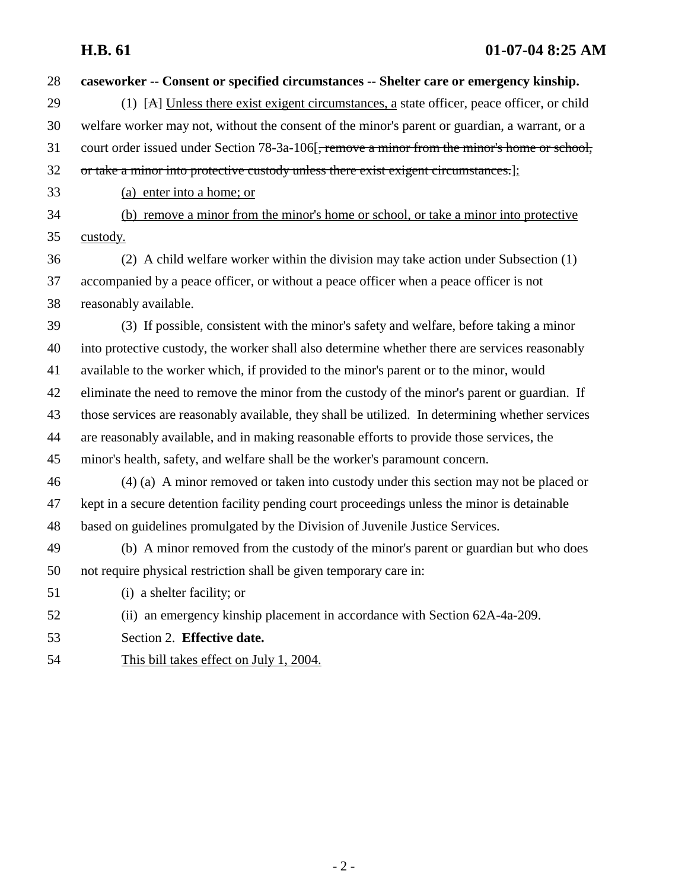| 28 | caseworker -- Consent or specified circumstances -- Shelter care or emergency kinship.                  |
|----|---------------------------------------------------------------------------------------------------------|
| 29 | (1) $[A]$ Unless there exist exigent circumstances, a state officer, peace officer, or child            |
| 30 | welfare worker may not, without the consent of the minor's parent or guardian, a warrant, or a          |
| 31 | court order issued under Section 78-3a-106 <del>, remove a minor from the minor's home or school,</del> |
| 32 | or take a minor into protective custody unless there exist exigent circumstances.]:                     |
| 33 | (a) enter into a home; or                                                                               |
| 34 | (b) remove a minor from the minor's home or school, or take a minor into protective                     |
| 35 | custody.                                                                                                |
| 36 | (2) A child welfare worker within the division may take action under Subsection (1)                     |
| 37 | accompanied by a peace officer, or without a peace officer when a peace officer is not                  |
| 38 | reasonably available.                                                                                   |
| 39 | (3) If possible, consistent with the minor's safety and welfare, before taking a minor                  |
| 40 | into protective custody, the worker shall also determine whether there are services reasonably          |
| 41 | available to the worker which, if provided to the minor's parent or to the minor, would                 |
| 42 | eliminate the need to remove the minor from the custody of the minor's parent or guardian. If           |
| 43 | those services are reasonably available, they shall be utilized. In determining whether services        |
| 44 | are reasonably available, and in making reasonable efforts to provide those services, the               |
| 45 | minor's health, safety, and welfare shall be the worker's paramount concern.                            |
| 46 | (4) (a) A minor removed or taken into custody under this section may not be placed or                   |
| 47 | kept in a secure detention facility pending court proceedings unless the minor is detainable            |
| 48 | based on guidelines promulgated by the Division of Juvenile Justice Services.                           |
| 49 | (b) A minor removed from the custody of the minor's parent or guardian but who does                     |
| 50 | not require physical restriction shall be given temporary care in:                                      |
| 51 | (i) a shelter facility; or                                                                              |
| 52 | (ii) an emergency kinship placement in accordance with Section 62A-4a-209.                              |
| 53 | Section 2. Effective date.                                                                              |
| 54 | This bill takes effect on July 1, 2004.                                                                 |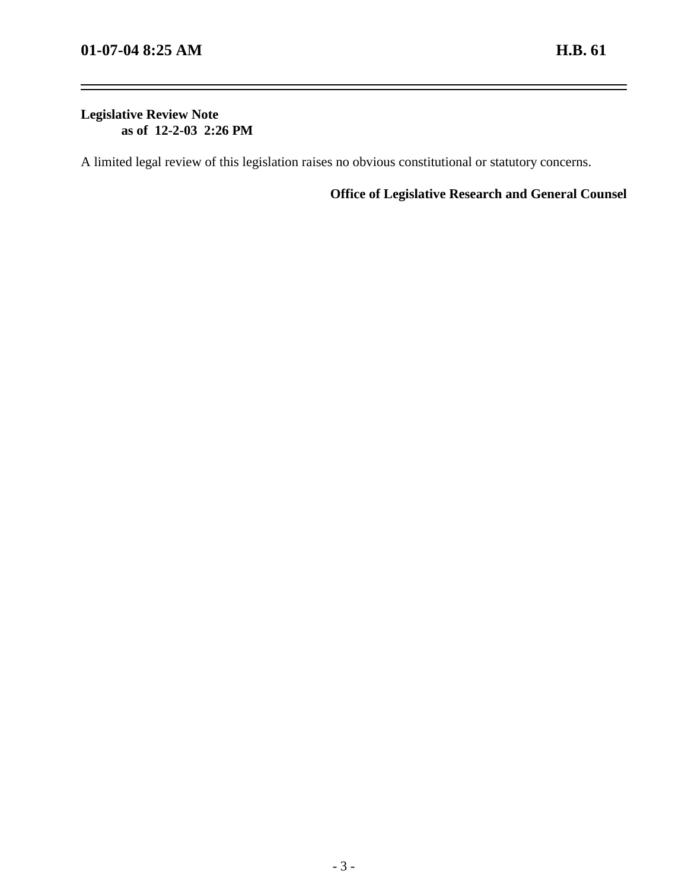-

## **Legislative Review Note as of 12-2-03 2:26 PM**

A limited legal review of this legislation raises no obvious constitutional or statutory concerns.

**Office of Legislative Research and General Counsel**